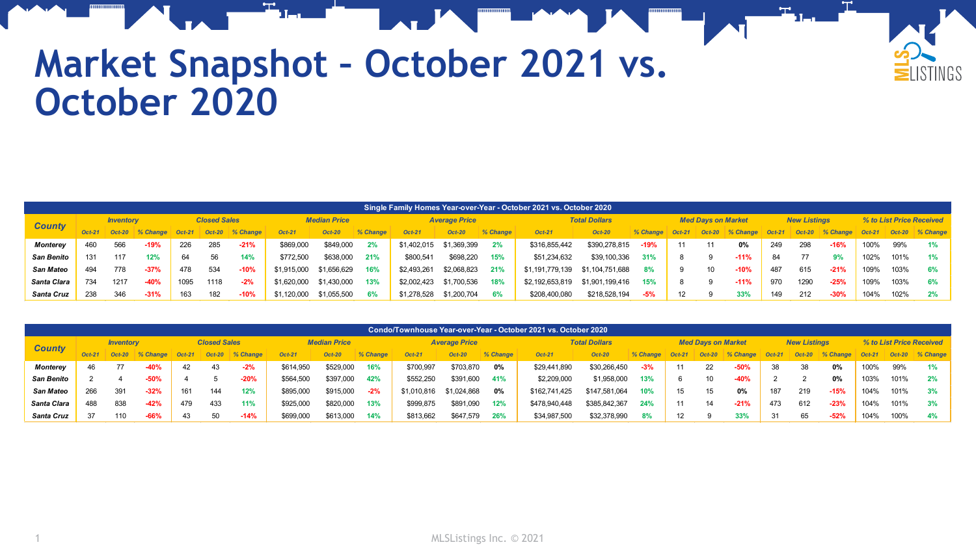

## **Market Snapshot – October 2021 vs. October 2020**

|                   | Single Family Homes Year-over-Year - October 2021 vs. October 2020 |                  |            |                     |          |             |               |                     |          |               |                      |          |                      |                 |          |          |                           |          |          |                     |            |          |                          |                 |
|-------------------|--------------------------------------------------------------------|------------------|------------|---------------------|----------|-------------|---------------|---------------------|----------|---------------|----------------------|----------|----------------------|-----------------|----------|----------|---------------------------|----------|----------|---------------------|------------|----------|--------------------------|-----------------|
|                   |                                                                    | <b>Inventory</b> |            | <b>Closed Sales</b> |          |             |               | <b>Median Price</b> |          |               | <b>Average Price</b> |          | <b>Total Dollars</b> |                 |          |          | <b>Med Davs on Market</b> |          |          | <b>New Listings</b> |            |          | % to List Price Received |                 |
| <b>County</b>     | $Oct-21$                                                           | $Oct-20$         | $%$ Change | $Oct-21$            | $Oct-20$ | $\%$ Change | <b>Oct-21</b> | <b>Oct-20</b>       | % Change | <b>Oct-21</b> | <b>Oct-20</b>        | % Change | <b>Oct-21</b>        | <b>Oct-20</b>   | % Change | $Oct-21$ | <b>Oct-20</b>             | % Change | $Oct-21$ | $Oct-20$            | $%$ Change | $Oct-21$ |                          | Oct-20 % Change |
| Monterev          | 460                                                                | 566              | $-19%$     | 226                 | 285      | $-21%$      | \$869,000     | \$849,000           | 2%       | \$1,402,015   | \$1,369,399          |          | \$316,855,442        | \$390,278.815   | $-19%$   | 11       | 11                        | 0%       | 249      | 298                 | $-16%$     | 100%     | 99%                      | 1%              |
| <b>San Benito</b> | 131                                                                | 117              | 12%        | 64                  | 56       | 14%         | \$772.500     | \$638,000           | 21%      | \$800.541     | \$698.220            | 15%      | \$51,234,632         | \$39,100,336    | 31%      |          |                           | $-11%$   | 84       |                     |            | 102%     | 101%                     | 1%              |
| San Mateo         | 494                                                                | 778              | $-37%$     | 478                 | 534      | $-10%$      | \$1,915,000   | \$1,656,629         | 16%      | \$2,493,261   | \$2,068,823          | 21%      | \$1,191,779,139      | \$1,104,751,688 | 8%       |          |                           | $-10%$   | 487      | 615                 | $-21%$     | 109%     | 103%                     | 6%              |
| Santa Clara       | 734                                                                | 1217             | $-40%$     | 1095                | 1118     | $-2%$       | \$1,620,000   | \$1,430,000         | 13%      | \$2,002.423   | \$1,700,536          | 18%      | \$2,192,653,819      | \$1,901,199,416 | 15%      |          |                           | $-11%$   | 970      | 1290                | $-25%$     | 109%     | 103%                     | 6%              |
| Santa Cruz        | 238                                                                | 346              | $-31%$     | 163                 | 182      | $-10%$      | \$1,120,000   | \$1,055,500         | 6%       | \$1,278,528   | \$1,200,704          | 6%       | \$208,400,080        | \$218,528,194   | -5%      | 12       |                           | 33%      | 149      | 212                 | $-30%$     | 104%     | 102%                     | 2%              |

|                  | Condo/Townhouse Year-over-Year - October 2021 vs. October 2020 |          |          |                     |          |          |                     |               |          |             |                      |          |               |                      |          |                   |                           |          |          |                     |          |               |                          |                 |  |
|------------------|----------------------------------------------------------------|----------|----------|---------------------|----------|----------|---------------------|---------------|----------|-------------|----------------------|----------|---------------|----------------------|----------|-------------------|---------------------------|----------|----------|---------------------|----------|---------------|--------------------------|-----------------|--|
|                  | <b>Inventory</b>                                               |          |          | <b>Closed Sales</b> |          |          | <b>Median Price</b> |               |          |             | <b>Average Price</b> |          |               | <b>Total Dollars</b> |          |                   | <b>Med Davs on Market</b> |          |          | <b>New Listings</b> |          |               | % to List Price Received |                 |  |
| <b>County</b>    | $Oct-21$                                                       | $Oct-20$ | % Change | <b>Oct-21</b>       | $Oct-20$ | % Change | $Oct-21$            | <b>Oct-20</b> | % Change | Oct-21      | <b>Oct-20</b>        | % Change | $Oct-21$      | <b>Oct-20</b>        | % Change | $Oct-21$          | $Oct-20$                  | % Change | $Oct-21$ | $Oct-20$            | % Change | <b>Oct-21</b> |                          | Oct-20 % Change |  |
| <b>Monterey</b>  | 46                                                             |          | $-40%$   | 42                  | 43       | $-2%$    | \$614,950           | \$529,000     | 16%      | \$700,997   | \$703,870            | 0%       | \$29,441,890  | \$30,266,450         | $-3%$    | 11                | 22                        | $-50%$   | 38       | 38                  | 0%       | 100%          | 99%                      | 1%              |  |
| San Benito       |                                                                |          | $-50%$   |                     |          | $-20%$   | \$564,500           | \$397,000     | 42%      | \$552,250   | \$391,600            | 41%      | \$2,209,000   | \$1,958,000          | 13%      |                   | 10                        | $-40%$   |          |                     | 0%       | 103%          | 101%                     | 2%              |  |
| <b>San Mateo</b> | 266                                                            | 391      | $-32%$   |                     | 144      | 12%      | \$895,000           | \$915,000     | $-2%$    | \$1,010,816 | \$1,024,868          | 0%       | \$162,741,425 | \$147,581,064        | 10%      | 15                | 15                        | 0%       | 187      | 219                 | $-15%$   | 104%          | 101%                     | 3%              |  |
| Santa Clara      | 488                                                            | 838      | $-42%$   | 479                 | 433      | 11%      | \$925,000           | \$820,000     | 13%      | \$999,875   | \$891,090            | 12%      | \$478,940,448 | \$385,842,367        | 24%      | 11                | 14                        | $-21%$   | 473      | 612                 | $-23%$   | 104%          | 101%                     | 3%              |  |
| Santa Cruz       | 37                                                             | 110      | $-66%$   | 43                  | 50       | $-14%$   | \$699,000           | \$613,000     | 14%      | \$813,662   | \$647,579            | 26%      | \$34,987,500  | \$32,378,990         | 8%       | $12 \overline{ }$ |                           | 33%      | -31      | 65                  | $-52%$   | 104%          | 100%                     | 4%              |  |